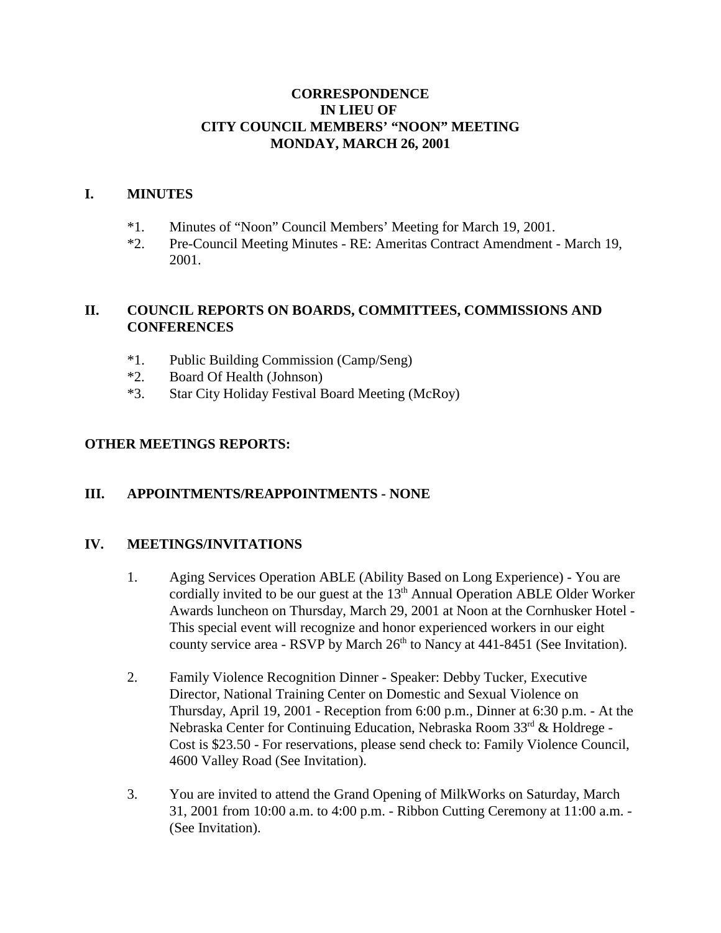### **CORRESPONDENCE IN LIEU OF CITY COUNCIL MEMBERS' "NOON" MEETING MONDAY, MARCH 26, 2001**

#### **I. MINUTES**

- \*1. Minutes of "Noon" Council Members' Meeting for March 19, 2001.
- \*2. Pre-Council Meeting Minutes RE: Ameritas Contract Amendment March 19, 2001.

## **II. COUNCIL REPORTS ON BOARDS, COMMITTEES, COMMISSIONS AND CONFERENCES**

- \*1. Public Building Commission (Camp/Seng)
- \*2. Board Of Health (Johnson)
- \*3. Star City Holiday Festival Board Meeting (McRoy)

### **OTHER MEETINGS REPORTS:**

### **III. APPOINTMENTS/REAPPOINTMENTS - NONE**

### **IV. MEETINGS/INVITATIONS**

- 1. Aging Services Operation ABLE (Ability Based on Long Experience) You are cordially invited to be our guest at the  $13<sup>th</sup>$  Annual Operation ABLE Older Worker Awards luncheon on Thursday, March 29, 2001 at Noon at the Cornhusker Hotel - This special event will recognize and honor experienced workers in our eight county service area - RSVP by March  $26<sup>th</sup>$  to Nancy at 441-8451 (See Invitation).
- 2. Family Violence Recognition Dinner Speaker: Debby Tucker, Executive Director, National Training Center on Domestic and Sexual Violence on Thursday, April 19, 2001 - Reception from 6:00 p.m., Dinner at 6:30 p.m. - At the Nebraska Center for Continuing Education, Nebraska Room 33rd & Holdrege -Cost is \$23.50 - For reservations, please send check to: Family Violence Council, 4600 Valley Road (See Invitation).
- 3. You are invited to attend the Grand Opening of MilkWorks on Saturday, March 31, 2001 from 10:00 a.m. to 4:00 p.m. - Ribbon Cutting Ceremony at 11:00 a.m. - (See Invitation).